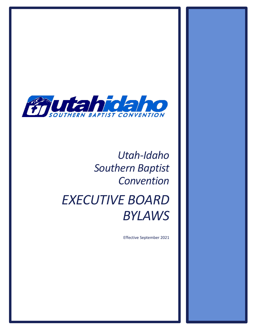

# *Utah-Idaho Southern Baptist Convention*

# *EXECUTIVE BOARD BYLAWS*

Effective September 2021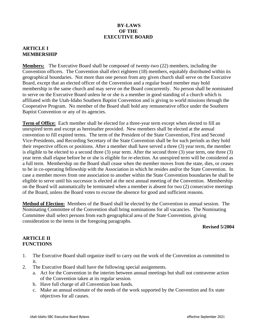## **BY-LAWS OF THE EXECUTIVE BOARD**

## **ARTICLE I MEMBERSHIP**

**Members:** The Executive Board shall be composed of twenty-two (22) members, including the Convention officers. The Convention shall elect eighteen (18) members, equitably distributed within its geographical boundaries. Not more than one person from any given church shall serve on the Executive Board, except that an elected officer of the Convention and a regular board member may hold membership in the same church and may serve on the Board concurrently. No person shall be nominated to serve on the Executive Board unless he or she is a member in good standing of a church which is affiliated with the Utah-Idaho Southern Baptist Convention and is giving to world missions through the Cooperative Program. No member of the Board shall hold any remunerative office under the Southern Baptist Convention or any of its agencies.

**Term of Office:** Each member shall be elected for a three-year term except when elected to fill an unexpired term and except as hereinafter provided. New members shall be elected at the annual convention to fill expired terms. The term of the President of the State Convention, First and Second Vice-Presidents, and Recording Secretary of the State Convention shall be for such periods as they hold their respective offices or positions. After a member shall have served a three (3) year term, the member is eligible to be elected to a second three (3) year term. After the second three (3) year term, one three (3) year term shall elapse before he or she is eligible for re-election. An unexpired term will be considered as a full term. Membership on the Board shall cease when the member moves from the state, dies, or ceases to be in co-operating fellowship with the Association in which he resides and/or the State Convention. In case a member moves from one association to another within the State Convention boundaries he shall be eligible to serve until his successor is elected at the next annual meeting of the Convention. Membership on the Board will automatically be terminated when a member is absent for two (2) consecutive meetings of the Board, unless the Board votes to excuse the absence for good and sufficient reasons.

**Method of Election:** Members of the Board shall be elected by the Convention in annual session. The Nominating Committee of the Convention shall bring nominations for all vacancies. The Nominating Committee shall select persons from each geographical area of the State Convention, giving consideration to the items in the foregoing paragraphs.

#### **Revised 5/2004**

# **ARTICLE II FUNCTIONS**

- 1. The Executive Board shall organize itself to carry out the work of the Convention as committed to it.
- 2. The Executive Board shall have the following special assignments.
	- a. Act for the Convention in the interim between annual meetings but shall not contravene action of the Convention taken at its regular session.
	- b. Have full charge of all Convention loan funds.
	- c. Make an annual estimate of the needs of the work supported by the Convention and fix state objectives for all causes.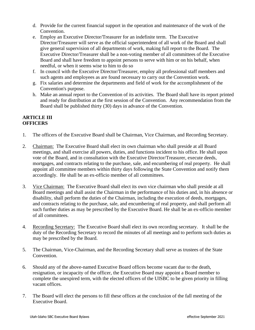- d. Provide for the current financial support in the operation and maintenance of the work of the Convention.
- e. Employ an Executive Director/Treasurer for an indefinite term. The Executive Director/Treasurer will serve as the official superintendent of all work of the Board and shall give general supervision of all departments of work, making full report to the Board. The Executive Director/Treasurer shall be a non-voting member of all committees of the Executive Board and shall have freedom to appoint persons to serve with him or on his behalf, when needful, or when it seems wise to him to do so
- f. In council with the Executive Director/Treasurer, employ all professional staff members and such agents and employees as are found necessary to carry out the Convention work.
- g. Fix salaries and determine the departments and field of work for the accomplishment of the Convention's purpose.
- h. Make an annual report to the Convention of its activities. The Board shall have its report printed and ready for distribution at the first session of the Convention. Any recommendation from the Board shall be published thirty (30) days in advance of the Convention.

# **ARTICLE III OFFICERS**

- 1. The officers of the Executive Board shall be Chairman, Vice Chairman, and Recording Secretary.
- 2. Chairman: The Executive Board shall elect its own chairman who shall preside at all Board meetings, and shall exercise all powers, duties, and functions incident to his office. He shall upon vote of the Board, and in consultation with the Executive Director/Treasurer, execute deeds, mortgages, and contracts relating to the purchase, sale, and encumbering of real property. He shall appoint all committee members within thirty days following the State Convention and notify them accordingly. He shall be an ex-officio member of all committees.
- 3. Vice Chairman: The Executive Board shall elect its own vice chairman who shall preside at all Board meetings and shall assist the Chairman in the performance of his duties and, in his absence or disability, shall perform the duties of the Chairman, including the execution of deeds, mortgages, and contracts relating to the purchase, sale, and encumbering of real property, and shall perform all such further duties as may be prescribed by the Executive Board. He shall be an ex-officio member of all committees.
- 4. Recording Secretary: The Executive Board shall elect its own recording secretary. It shall be the duty of the Recording Secretary to record the minutes of all meetings and to perform such duties as may be prescribed by the Board.
- 5. The Chairman, Vice-Chairman, and the Recording Secretary shall serve as trustees of the State Convention.
- 6. Should any of the above-named Executive Board offices become vacant due to the death, resignation, or incapacity of the officer, the Executive Board may appoint a Board member to complete the unexpired term, with the elected officers of the UISBC to be given priority in filling vacant offices.
- 7. The Board will elect the persons to fill these offices at the conclusion of the fall meeting of the Executive Board.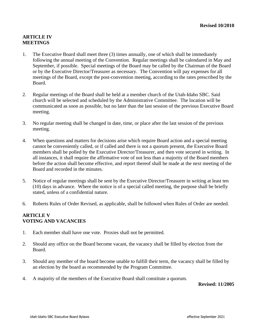# **ARTICLE IV MEETINGS**

- 1. The Executive Board shall meet three (3) times annually, one of which shall be immediately following the annual meeting of the Convention. Regular meetings shall be calendared in May and September, if possible. Special meetings of the Board may be called by the Chairman of the Board or by the Executive Director/Treasurer as necessary. The Convention will pay expenses for all meetings of the Board, except the post-convention meeting, according to the rates prescribed by the Board.
- 2. Regular meetings of the Board shall be held at a member church of the Utah-Idaho SBC. Said church will be selected and scheduled by the Administrative Committee. The location will be communicated as soon as possible, but no later than the last session of the previous Executive Board meeting.
- 3. No regular meeting shall be changed in date, time, or place after the last session of the previous meeting.
- 4. When questions and matters for decisions arise which require Board action and a special meeting cannot be conveniently called, or if called and there is not a quorum present, the Executive Board members shall be polled by the Executive Director/Treasurer, and then vote secured in writing. In all instances, it shall require the affirmative vote of not less than a majority of the Board members before the action shall become effective, and report thereof shall be made at the next meeting of the Board and recorded in the minutes.
- 5. Notice of regular meetings shall be sent by the Executive Director/Treasurer in writing at least ten (10) days in advance. Where the notice is of a special called meeting, the purpose shall be briefly stated, unless of a confidential nature.
- 6. Roberts Rules of Order Revised, as applicable, shall be followed when Rules of Order are needed.

# **ARTICLE V VOTING AND VACANCIES**

- 1. Each member shall have one vote. Proxies shall not be permitted.
- 2. Should any office on the Board become vacant, the vacancy shall be filled by election from the Board.
- 3. Should any member of the board become unable to fulfill their term, the vacancy shall be filled by an election by the board as recommended by the Program Committee.
- 4. A majority of the members of the Executive Board shall constitute a quorum.

**Revised: 11/2005**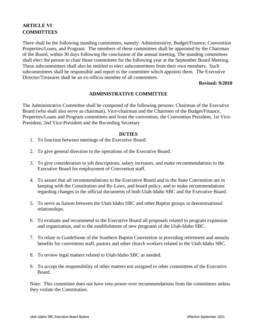# **ARTICLE VI COMMITTEES**

There shall be the following standing committees, namely: Administrative, Budget/Finance, Convention Properties/Loans, and Program. The members of these committees shall be appointed by the Chairman of the Board, within 30 days following the conclusion of the annual meeting. The standing committees shall elect the person to chair those committees for the following year at the September Board Meeting. These subcommittees shall also be entitled to elect subcommittees from their own members. Such subcommittees shall be responsible and report to the committee which appoints them. The Executive Director/Treasurer shall be an ex-officio member of all committees.

#### **Revised: 9/2010**

### **ADMINISTRATIVE COMMITTEE**

The Administrative Committee shall be composed of the following persons: Chairman of the Executive Board (who shall also serve as chairman), Vice-chairman and the Chairmen of the Budget/Finance, Properties/Loans and Program committees and from the convention, the Convention President, 1st Vice-President, 2nd Vice-President and the Recording Secretary

#### **DUTIES**

- 1. To function between meetings of the Executive Board.
- 2. To give general direction to the operations of the Executive Board.
- 3. To give consideration to job descriptions, salary increases, and make recommendations to the Executive Board for employment of Convention staff*.*
- 4. To assure that all recommendations to the Executive Board and to the State Convention are in keeping with the Constitution and By-Laws, and board policy, and to make recommendations regarding changes in the official documents of both Utah-Idaho SBC and the Executive Board.
- 5. To serve as liaison between the Utah-Idaho SBC and other Baptist groups in denominational relationships.
- 6. To evaluate and recommend to the Executive Board all proposals related to program expansion and organization, and to the establishment of new programs of the Utah-Idaho SBC.
- 7. To relate to GuideStone of the Southern Baptist Convention in providing retirement and annuity benefits for convention staff, pastors and other church workers related to the Utah-Idaho SBC.
- 8. To review legal matters related to Utah-Idaho SBC as needed.
- 9. To accept the responsibility of other matters not assigned to other committees of the Executive Board.

Note: This committee does not have veto power over recommendations from the committees unless they violate the Constitution.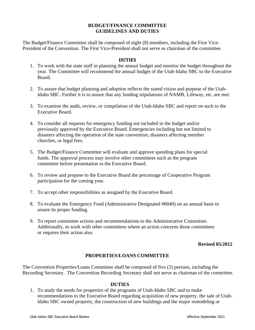#### **BUDGET/FINANCE COMMITTEE GUIDELINES AND DUTIES**

The Budget/Finance Committee shall be composed of eight (8) members, including the First Vice-President of the Convention. The First Vice-President shall not serve as chairman of the committee.

#### **DUTIES**

- 1. To work with the state staff in planning the annual budget and monitor the budget throughout the year. The Committee will recommend the annual budget of the Utah-Idaho SBC to the Executive Board.
- 2. To assure that budget planning and adoption reflects the stated vision and purpose of the Utah-Idaho SBC. Further it is to assure that any funding stipulations of NAMB, Lifeway, etc. are met.
- 3. To examine the audit, review, or compilation of the Utah-Idaho SBC and report on such to the Executive Board.
- 4. To consider all requests for emergency funding not included in the budget and/or previously approved by the Executive Board. Emergencies including but not limited to disasters affecting the operation of the state convention, disasters affecting member churches, or legal fees.
- 5. The Budget/Finance Committee will evaluate and approve spending plans for special funds. The approval process may involve other committees such as the program committee before presentation to the Executive Board.
- 6. To review and propose to the Executive Board the percentage of Cooperative Program participation for the coming year.
- 7. To accept other responsibilities as assigned by the Executive Board.
- 8. To evaluate the Emergency Fund (Administrative Designated #8040) on an annual basis to assure its proper funding.
- 9. To report committee actions and recommendations to the Administrative Committee. Additionally, to work with other committees where an action concerns those committees or requires their action also.

#### **Revised 05/2012**

# **PROPERTIES/LOANS COMMITTEE**

The Convention Properties/Loans Committee shall be composed of five (5) persons, including the Recording Secretary. The Convention Recording Secretary shall not serve as chairman of the committee.

#### **DUTIES**

1. To study the needs for properties of the programs of Utah-Idaho SBC and to make recommendations to the Executive Board regarding acquisition of new property, the sale of Utah-Idaho SBC owned property, the construction of new buildings and the major remodeling or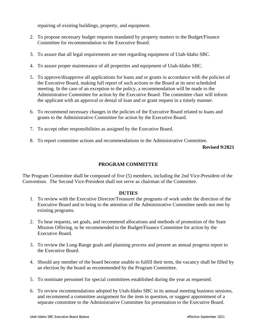repairing of existing buildings, property, and equipment.

- 2. To propose necessary budget requests mandated by property matters to the Budget/Finance Committee for recommendation to the Executive Board.
- 3. To assure that all legal requirements are met regarding equipment of Utah-Idaho SBC.
- 4. To assure proper maintenance of all properties and equipment of Utah-Idaho SBC.
- 5. To approve/disapprove all applications for loans and or grants in accordance with the policies of the Executive Board, making full report of such actions to the Board at its next scheduled meeting. In the case of an exception to the policy, a recommendation will be made to the Administrative Committee for action by the Executive Board. The committee chair will inform the applicant with an approval or denial of loan and or grant request in a timely manner.
- 6. To recommend necessary changes in the policies of the Executive Board related to loans and grants to the Administrative Committee for action by the Executive Board.
- 7. To accept other responsibilities as assigned by the Executive Board.
- 8. To report committee actions and recommendations to the Administrative Committee.

**Revised 9/2021**

# **PROGRAM COMMITTEE**

The Program Committee shall be composed of five (5) members, including the 2nd Vice-President of the Convention. The Second Vice-President shall not serve as chairman of the Committee.

#### **DUTIES**

- 1. To review with the Executive Director/Treasurer the programs of work under the direction of the Executive Board and to bring to the attention of the Administrative Committee needs not met by existing programs.
- 2. To hear requests, set goals, and recommend allocations and methods of promotion of the State Mission Offering, to be recommended to the Budget/Finance Committee for action by the Executive Board.
- 3. To review the Long-Range goals and planning process and present an annual progress report to the Executive Board.
- 4. Should any member of the board become unable to fulfill their term, the vacancy shall be filled by an election by the board as recommended by the Program Committee.
- 5. To nominate personnel for special committees established during the year as requested.
- 6. To review recommendations adopted by Utah-Idaho SBC in its annual meeting business sessions, and recommend a committee assignment for the item in question, or suggest appointment of a separate committee to the Administrative Committee for presentation to the Executive Board.